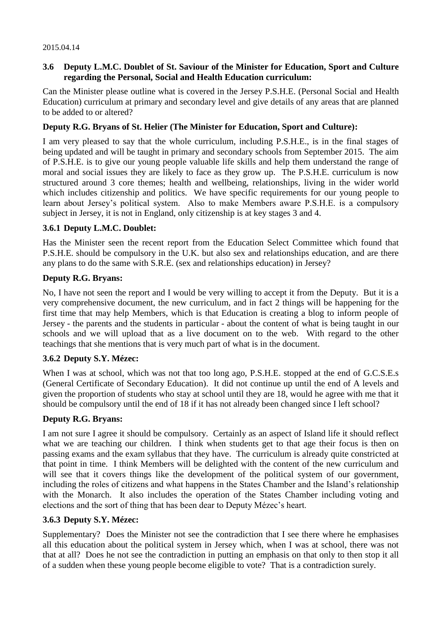#### 2015.04.14

# **3.6 Deputy L.M.C. Doublet of St. Saviour of the Minister for Education, Sport and Culture regarding the Personal, Social and Health Education curriculum:**

Can the Minister please outline what is covered in the Jersey P.S.H.E. (Personal Social and Health Education) curriculum at primary and secondary level and give details of any areas that are planned to be added to or altered?

## **Deputy R.G. Bryans of St. Helier (The Minister for Education, Sport and Culture):**

I am very pleased to say that the whole curriculum, including P.S.H.E., is in the final stages of being updated and will be taught in primary and secondary schools from September 2015. The aim of P.S.H.E. is to give our young people valuable life skills and help them understand the range of moral and social issues they are likely to face as they grow up. The P.S.H.E. curriculum is now structured around 3 core themes; health and wellbeing, relationships, living in the wider world which includes citizenship and politics. We have specific requirements for our young people to learn about Jersey's political system. Also to make Members aware P.S.H.E. is a compulsory subject in Jersey, it is not in England, only citizenship is at key stages 3 and 4.

### **3.6.1 Deputy L.M.C. Doublet:**

Has the Minister seen the recent report from the Education Select Committee which found that P.S.H.E. should be compulsory in the U.K. but also sex and relationships education, and are there any plans to do the same with S.R.E. (sex and relationships education) in Jersey?

### **Deputy R.G. Bryans:**

No, I have not seen the report and I would be very willing to accept it from the Deputy. But it is a very comprehensive document, the new curriculum, and in fact 2 things will be happening for the first time that may help Members, which is that Education is creating a blog to inform people of Jersey - the parents and the students in particular - about the content of what is being taught in our schools and we will upload that as a live document on to the web. With regard to the other teachings that she mentions that is very much part of what is in the document.

# **3.6.2 Deputy S.Y. Mézec:**

When I was at school, which was not that too long ago, P.S.H.E. stopped at the end of G.C.S.E.s. (General Certificate of Secondary Education). It did not continue up until the end of A levels and given the proportion of students who stay at school until they are 18, would he agree with me that it should be compulsory until the end of 18 if it has not already been changed since I left school?

### **Deputy R.G. Bryans:**

I am not sure I agree it should be compulsory. Certainly as an aspect of Island life it should reflect what we are teaching our children. I think when students get to that age their focus is then on passing exams and the exam syllabus that they have. The curriculum is already quite constricted at that point in time. I think Members will be delighted with the content of the new curriculum and will see that it covers things like the development of the political system of our government, including the roles of citizens and what happens in the States Chamber and the Island's relationship with the Monarch. It also includes the operation of the States Chamber including voting and elections and the sort of thing that has been dear to Deputy Mézec's heart.

### **3.6.3 Deputy S.Y. Mézec:**

Supplementary? Does the Minister not see the contradiction that I see there where he emphasises all this education about the political system in Jersey which, when I was at school, there was not that at all? Does he not see the contradiction in putting an emphasis on that only to then stop it all of a sudden when these young people become eligible to vote? That is a contradiction surely.